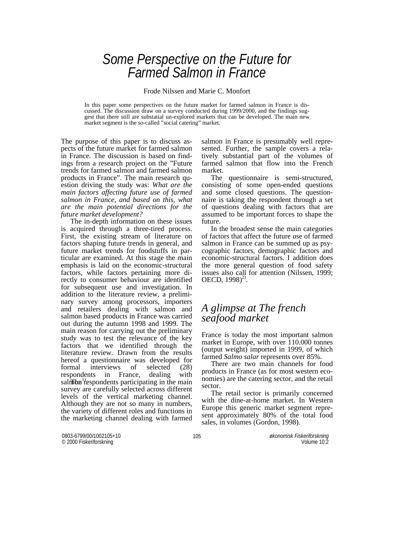# *Some Perspective on the Future for Farmed Salmon in France*

Frode Nilssen and Marie C. Monfort

In this paper some perspectives on the future market for farmed salmon in France is discussed. The discussion draw on a survey conducted during 1999/2000, and the findings suggest that there still are substatial un-explored markets that can be developed. The main new market segment is the so-called "social catering" market.

The purpose of this paper is to discuss aspects of the future market for farmed salmon in France. The discussion is based on findings from a research project on the "Future trends for farmed salmon and farmed salmon products in France". The main research question driving the study was: *What are the main factors affecting future use of farmed salmon in France, and based on this, what are the main potential directions for the future market development?* 

 The in-depth information on these issues is acquired through a three-tired process. First, the existing stream of literature on factors shaping future trends in general, and future market trends for foodstuffs in particular are examined. At this stage the main emphasis is laid on the economic-structural factors, while factors pertaining more directly to consumer behaviour are identified for subsequent use and investigation. In addition to the literature review, a preliminary survey among processors, importers and retailers dealing with salmon and salmon based products in France was carried out during the autumn 1998 and 1999. The main reason for carrying out the preliminary study was to test the relevance of the key factors that we identified through the literature review. Drawn from the results hereof a questionnaire was developed for formal interviews of selected (28) respondents in France, dealing with  $sal\hat{\mathbf{r}}$  The respondents participating in the main survey are carefully selected across different levels of the vertical marketing channel. Although they are not so many in numbers, the variety of different roles and functions in the marketing channel dealing with farmed

salmon in France is presumably well represented. Further, the sample covers a relatively substantial part of the volumes of farmed salmon that flow into the French market.

 The questionnaire is semi-structured, consisting of some open-ended questions and some closed questions. The questionnaire is taking the respondent through a set of questions dealing with factors that are assumed to be important forces to shape the future.

 In the broadest sense the main categories of factors that affect the future use of farmed salmon in France can be summed up as psycographic factors, demographic factors and economic-structural factors. I addition does the more general question of food safety issues also call for attention (Nilssen, 1999; OECD,  $1998)^{2}$ .

# *A glimpse at The french seafood market*

France is today the most important salmon market in Europe, with over  $110,000$  tonnes (output weight) imported in 1999, of which farmed *Salmo salar* represents over 85%.

 There are two main channels for food products in France (as for most western economies) are the catering sector, and the retail sector.

 The retail sector is primarily concerned with the dine-at-home market. In Western Europe this generic market segment represent approximately 80% of the total food sales, in volumes (Gordon, 1998).

0803-6799/00/1002105+10 © 2000 Fiskeriforskning

105 *økonomisk Fiskeriforskning* Volume 10:2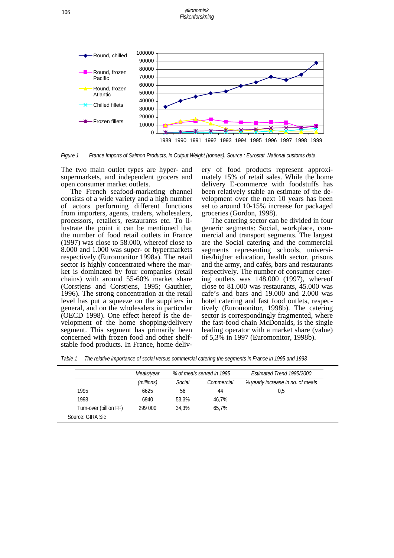*økonomisk Fiskeriforskning*



*Figure 1 France Imports of Salmon Products, in Output Weight (tonnes). Source : Eurostat, National customs data* 

The two main outlet types are hyper- and supermarkets, and independent grocers and open consumer market outlets.

 The French seafood-marketing channel consists of a wide variety and a high number of actors performing different functions from importers, agents, traders, wholesalers, processors, retailers, restaurants etc. To illustrate the point it can be mentioned that the number of food retail outlets in France (1997) was close to 58.000, whereof close to 8.000 and 1.000 was super- or hypermarkets respectively (Euromonitor 1998a). The retail sector is highly concentrated where the market is dominated by four companies (retail chains) with around 55-60% market share (Corstjens and Corstjens, 1995; Gauthier, 1996). The strong concentration at the retail level has put a squeeze on the suppliers in general, and on the wholesalers in particular (OECD 1998). One effect hereof is the development of the home shopping/delivery segment. This segment has primarily been concerned with frozen food and other shelfstable food products. In France, home delivery of food products represent approximately 15% of retail sales. While the home delivery E-commerce with foodstuffs has been relatively stable an estimate of the development over the next 10 years has been set to around 10-15% increase for packaged groceries (Gordon, 1998).

 The catering sector can be divided in four generic segments: Social, workplace, commercial and transport segments. The largest are the Social catering and the commercial segments representing schools, universities/higher education, health sector, prisons and the army, and cafés, bars and restaurants respectively. The number of consumer catering outlets was 148.000 (1997), whereof close to 81.000 was restaurants, 45.000 was cafe's and bars and 19.000 and 2.000 was hotel catering and fast food outlets, respectively (Euromonitor, 1998b). The catering sector is correspondingly fragmented, where the fast-food chain McDonalds, is the single leading operator with a market share (value) of 5,3% in 1997 (Euromonitor, 1998b).

*Table 1 The relative importance of social versus commercial catering the segments in France in 1995 and 1998* 

|                        | Meals/year |        | % of meals served in 1995 | Estimated Trend 1995/2000         |
|------------------------|------------|--------|---------------------------|-----------------------------------|
|                        | (millions) | Social | Commercial                | % yearly increase in no. of meals |
| 1995                   | 6625       | 56     | 44                        | 0.5                               |
| 1998                   | 6940       | 53.3%  | 46.7%                     |                                   |
| Turn-over (billion FF) | 299 000    | 34.3%  | 65.7%                     |                                   |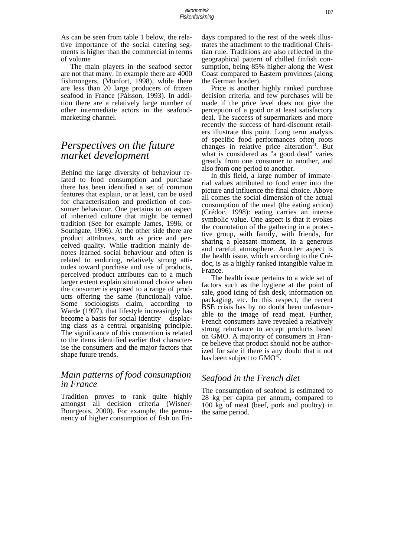As can be seen from table 1 below, the relative importance of the social catering segments is higher than the commercial in terms of volume

 The main players in the seafood sector are not that many. In example there are 4000 fishmongers, (Monfort, 1998), while there are less than 20 large producers of frozen seafood in France (Pàlsson, 1993). In addition there are a relatively large number of other intermediate actors in the seafoodmarketing channel.

# *Perspectives on the future market development*

Behind the large diversity of behaviour related to food consumption and purchase there has been identified a set of common features that explain, or at least, can be used for characterisation and prediction of consumer behaviour. One pertains to an aspect of inherited culture that might be termed tradition (See for example James, 1996; or Southgate, 1996). At the other side there are product attributes, such as price and perceived quality. While tradition mainly denotes learned social behaviour and often is related to enduring, relatively strong attitudes toward purchase and use of products, perceived product attributes can to a much larger extent explain situational choice when the consumer is exposed to a range of products offering the same (functional) value. Some sociologists claim, according to Warde (1997), that lifestyle increasingly has become a basis for social identity – displacing class as a central organising principle. The significance of this contention is related to the items identified earlier that characterise the consumers and the major factors that shape future trends.

# *Main patterns of food consumption in France*

Tradition proves to rank quite highly amongst all decision criteria (Wisner-Bourgeois, 2000). For example, the permanency of higher consumption of fish on Fridays compared to the rest of the week illustrates the attachment to the traditional Christian rule. Traditions are also reflected in the geographical pattern of chilled finfish consumption, being 85% higher along the West Coast compared to Eastern provinces (along the German border).

 Price is another highly ranked purchase decision criteria, and few purchases will be made if the price level does not give the perception of a good or at least satisfactory deal. The success of supermarkets and more recently the success of hard-discount retailers illustrate this point. Long term analysis of specific food performances often roots changes in relative price alteration<sup>3)</sup>. But what is considered as "a good deal" varies greatly from one consumer to another, and also from one period to another.

 In this field, a large number of immaterial values attributed to food enter into the picture and influence the final choice. Above all comes the social dimension of the actual consumption of the meal (the eating action) (Crédoc, 1998): eating carries an intense symbolic value. One aspect is that it evokes the connotation of the gathering in a protective group, with family, with friends, for sharing a pleasant moment, in a generous and careful atmosphere. Another aspect is the health issue, which according to the Crédoc, is as a highly ranked intangible value in France.

 The health issue pertains to a wide set of factors such as the hygiene at the point of sale, good icing of fish desk, information on packaging, etc. In this respect, the recent BSE crisis has by no doubt been unfavourable to the image of read meat. Further, French consumers have revealed a relatively strong reluctance to accept products based on GMO. A majority of consumers in France believe that product should not be authorized for sale if there is any doubt that it not has been subject to  $GMO<sup>4</sup>$ .

## *Seafood in the French diet*

The consumption of seafood is estimated to 28 kg per capita per annum, compared to 100 kg of meat (beef, pork and poultry) in the same period.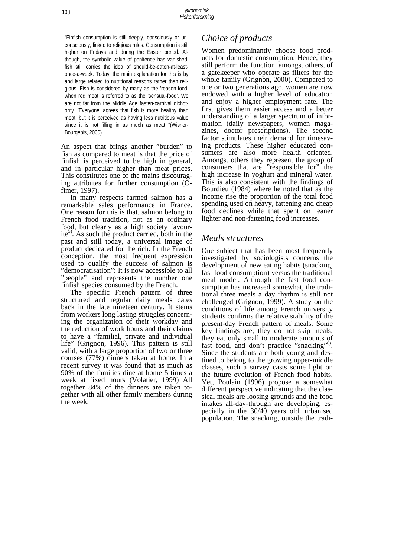"Finfish consumption is still deeply, consciously or unconsciously, linked to religious rules. Consumption is still higher on Fridays and during the Easter period. Although, the symbolic value of penitence has vanished, fish still carries the idea of should-be-eaten-at-leastonce-a-week. Today, the main explanation for this is by and large related to nutritional reasons rather than religious. Fish is considered by many as the 'reason-food' when red meat is referred to as the 'sensual-food'. We are not far from the Middle Age fasten-carnival dichotomy. 'Everyone' agrees that fish is more healthy than meat, but it is perceived as having less nutritious value since it is not filling in as much as meat "(Wisner-Bourgeois, 2000).

An aspect that brings another "burden" to fish as compared to meat is that the price of finfish is perceived to be high in general, and in particular higher than meat prices. This constitutes one of the mains discouraging attributes for further consumption (Ofimer, 1997).

 In many respects farmed salmon has a remarkable sales performance in France. One reason for this is that, salmon belong to French food tradition, not as an ordinary food, but clearly as a high society favourite<sup>5)</sup>. As such the product carried, both in the past and still today, a universal image of product dedicated for the rich. In the French conception, the most frequent expression used to qualify the success of salmon is "democratisation": It is now accessible to all "people" and represents the number one finfish species consumed by the French.

 The specific French pattern of three structured and regular daily meals dates back in the late nineteen century. It stems from workers long lasting struggles concerning the organization of their workday and the reduction of work hours and their claims to have a "familial, private and individual life" (Grignon, 1996). This pattern is still valid, with a large proportion of two or three courses (77%) dinners taken at home. In a recent survey it was found that as much as 90% of the families dine at home 5 times a week at fixed hours (Volatier, 1999) All together 84% of the dinners are taken together with all other family members during the week.

# *Choice of products*

Women predominantly choose food products for domestic consumption. Hence, they still perform the function, amongst others, of a gatekeeper who operate as filters for the whole family (Grignon, 2000). Compared to one or two generations ago, women are now endowed with a higher level of education and enjoy a higher employment rate. The first gives them easier access and a better understanding of a larger spectrum of information (daily newspapers, women magazines, doctor prescriptions). The second factor stimulates their demand for timesaving products. These higher educated consumers are also more health oriented. Amongst others they represent the group of consumers that are "responsible for" the high increase in yoghurt and mineral water. This is also consistent with the findings of Bourdieu (1984) where he noted that as the income rise the proportion of the total food spending used on heavy, fattening and cheap food declines while that spent on leaner lighter and non-fattening food increases.

## *Meals structures*

One subject that has been most frequently investigated by sociologists concerns the development of new eating habits (snacking, fast food consumption) versus the traditional meal model. Although the fast food consumption has increased somewhat, the traditional three meals a day rhythm is still not challenged (Grignon, 1999). A study on the conditions of life among French university students confirms the relative stability of the present-day French pattern of meals. Some key findings are; they do not skip meals, they eat only small to moderate amounts of fast food, and don't practice "snacking"<sup>6</sup>. Since the students are both young and destined to belong to the growing upper-middle classes, such a survey casts some light on the future evolution of French food habits. Yet, Poulain (1996) propose a somewhat different perspective indicating that the classical meals are loosing grounds and the food intakes all-day-through are developing, especially in the 30/40 years old, urbanised population. The snacking, outside the tradi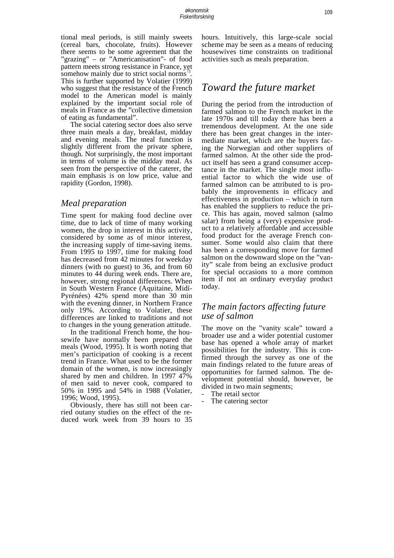tional meal periods, is still mainly sweets (cereal bars, chocolate, fruits). However there seems to be some agreement that the "grazing" – or "Americanisation"- of food pattern meets strong resistance in France, yet somehow mainly due to strict social norms''.<br>This is further supported by Volatier (1999) who suggest that the resistance of the French model to the American model is mainly explained by the important social role of meals in France as the "collective dimension of eating as fundamental".

 The social catering sector does also serve three main meals a day, breakfast, midday and evening meals. The meal function is slightly different from the private sphere, though. Not surprisingly, the most important in terms of volume is the midday meal. As seen from the perspective of the caterer, the main emphasis is on low price, value and rapidity (Gordon, 1998).

### *Meal preparation*

Time spent for making food decline over time, due to lack of time of many working women, the drop in interest in this activity, considered by some as of minor interest, the increasing supply of time-saving items. From 1995 to 1997, time for making food has decreased from 42 minutes for weekday dinners (with no guest) to 36, and from 60 minutes to 44 during week ends. There are, however, strong regional differences. When in South Western France (Aquitaine, Midi-Pyrénées) 42% spend more than 30 min with the evening dinner, in Northern France only 19%. According to Volatier, these differences are linked to traditions and not to changes in the young generation attitude.

 In the traditional French home, the housewife have normally been prepared the meals (Wood, 1995). It is worth noting that men's participation of cooking is a recent trend in France. What used to be the former domain of the women, is now increasingly shared by men and children. In 1997 47% of men said to never cook, compared to 50% in 1995 and 54% in 1988 (Volatier, 1996; Wood, 1995).

 Obviously, there has still not been carried outany studies on the effect of the reduced work week from 39 hours to 35 hours. Intuitively, this large-scale social scheme may be seen as a means of reducing housewives time constraints on traditional activities such as meals preparation.

# *Toward the future market*

During the period from the introduction of farmed salmon to the French market in the late 1970s and till today there has been a tremendous development. At the one side there has been great changes in the intermediate market, which are the buyers facing the Norwegian and other suppliers of farmed salmon. At the other side the product itself has seen a grand consumer acceptance in the market. The single most influential factor to which the wide use of farmed salmon can be attributed to is probably the improvements in efficacy and effectiveness in production – which in turn has enabled the suppliers to reduce the price. This has again, moved salmon (salmo salar) from being a (very) expensive product to a relatively affordable and accessible food product for the average French consumer. Some would also claim that there has been a corresponding move for farmed salmon on the downward slope on the "vanity" scale from being an exclusive product for special occasions to a more common item if not an ordinary everyday product today.

## *The main factors affecting future use of salmon*

The move on the "vanity scale" toward a broader use and a wider potential customer base has opened a whole array of market possibilities for the industry. This is confirmed through the survey as one of the main findings related to the future areas of opportunities for farmed salmon. The development potential should, however, be divided in two main segments;

- The retail sector
- The catering sector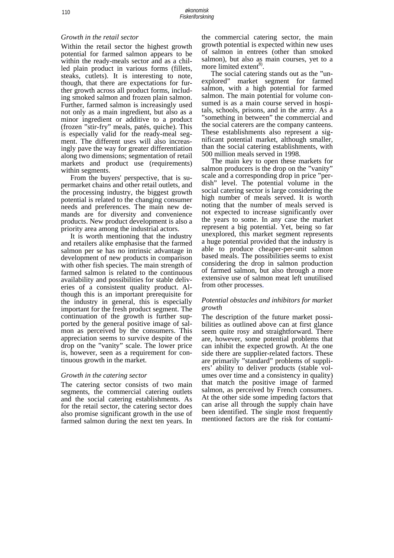#### *Growth in the retail sector*

Within the retail sector the highest growth potential for farmed salmon appears to be within the ready-meals sector and as a chilled plain product in various forms (fillets, steaks, cutlets). It is interesting to note, though, that there are expectations for further growth across all product forms, including smoked salmon and frozen plain salmon. Further, farmed salmon is increasingly used not only as a main ingredient, but also as a minor ingredient or additive to a product (frozen "stir-fry" meals, patés, quiche). This is especially valid for the ready-meal segment. The different uses will also increasingly pave the way for greater differentiation along two dimensions; segmentation of retail markets and product use (requirements) within segments.

 From the buyers' perspective, that is supermarket chains and other retail outlets, and the processing industry, the biggest growth potential is related to the changing consumer needs and preferences. The main new demands are for diversity and convenience products. New product development is also a priority area among the industrial actors.

 It is worth mentioning that the industry and retailers alike emphasise that the farmed salmon per se has no intrinsic advantage in development of new products in comparison with other fish species. The main strength of farmed salmon is related to the continuous availability and possibilities for stable deliveries of a consistent quality product. Although this is an important prerequisite for the industry in general, this is especially important for the fresh product segment. The continuation of the growth is further supported by the general positive image of salmon as perceived by the consumers. This appreciation seems to survive despite of the drop on the "vanity" scale. The lower price is, however, seen as a requirement for continuous growth in the market.

#### *Growth in the catering sector*

The catering sector consists of two main segments, the commercial catering outlets and the social catering establishments. As for the retail sector, the catering sector does also promise significant growth in the use of farmed salmon during the next ten years. In the commercial catering sector, the main growth potential is expected within new uses of salmon in entrees (other than smoked salmon), but also as main courses, yet to a more limited extent<sup>8)</sup>.

 The social catering stands out as the "unexplored" market segment for farmed salmon, with a high potential for farmed salmon. The main potential for volume consumed is as a main course served in hospitals, schools, prisons, and in the army. As a "something in between" the commercial and the social caterers are the company canteens. These establishments also represent a significant potential market, although smaller, than the social catering establishments, with 500 million meals served in 1998.

 The main key to open these markets for salmon producers is the drop on the "vanity" scale and a corresponding drop in price "perdish" level. The potential volume in the social catering sector is large considering the high number of meals served. It is worth noting that the number of meals served is not expected to increase significantly over the years to some. In any case the market represent a big potential. Yet, being so far unexplored, this market segment represents a huge potential provided that the industry is able to produce cheaper-per-unit salmon based meals. The possibilities seems to exist considering the drop in salmon production of farmed salmon, but also through a more extensive use of salmon meat left unutilised from other processes.

#### *Potential obstacles and inhibitors for market growth*

The description of the future market possibilities as outlined above can at first glance seem quite rosy and straightforward. There are, however, some potential problems that can inhibit the expected growth. At the one side there are supplier-related factors. These are primarily "standard" problems of suppliers' ability to deliver products (stable volumes over time and a consistency in quality) that match the positive image of farmed salmon, as perceived by French consumers. At the other side some impeding factors that can arise all through the supply chain have been identified. The single most frequently mentioned factors are the risk for contami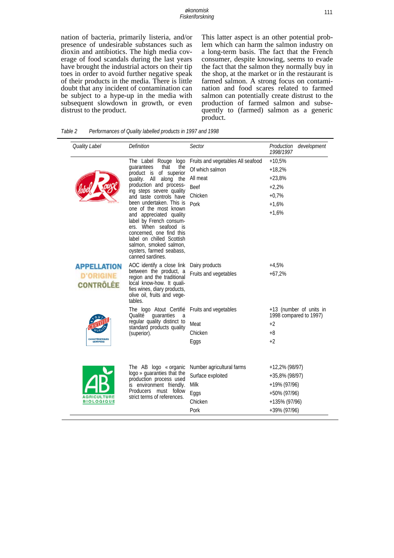nation of bacteria, primarily listeria, and/or presence of undesirable substances such as dioxin and antibiotics. The high media coverage of food scandals during the last years have brought the industrial actors on their tip toes in order to avoid further negative speak of their products in the media. There is little doubt that any incident of contamination can be subject to a hype-up in the media with subsequent slowdown in growth, or even distrust to the product.

This latter aspect is an other potential problem which can harm the salmon industry on a long-term basis. The fact that the French consumer, despite knowing, seems to evade the fact that the salmon they normally buy in the shop, at the market or in the restaurant is farmed salmon. A strong focus on contamination and food scares related to farmed salmon can potentially create distrust to the production of farmed salmon and subsequently to (farmed) salmon as a generic product.

| Quality Label                                | <b>Definition</b>                                                                                                                                                                                                                                                                                                                                                                                                                               | Sector                            | Production development<br>1998/1997               |
|----------------------------------------------|-------------------------------------------------------------------------------------------------------------------------------------------------------------------------------------------------------------------------------------------------------------------------------------------------------------------------------------------------------------------------------------------------------------------------------------------------|-----------------------------------|---------------------------------------------------|
|                                              | The Label Rouge logo<br>quarantees<br>that<br>the<br>of superior<br>product is<br>All along the<br>quality.<br>production and process-<br>ing steps severe quality<br>and taste controls have<br>been undertaken. This is<br>one of the most known<br>and appreciated quality<br>label by French consum-<br>ers. When seafood is<br>concerned, one find this<br>label on chilled Scottish<br>salmon, smoked salmon,<br>oysters, farmed seabass, | Fruits and vegetables All seafood | $+10,5%$                                          |
|                                              |                                                                                                                                                                                                                                                                                                                                                                                                                                                 | Of which salmon                   | $+18,2%$                                          |
|                                              |                                                                                                                                                                                                                                                                                                                                                                                                                                                 | All meat                          | $+23,8%$                                          |
|                                              |                                                                                                                                                                                                                                                                                                                                                                                                                                                 | <b>Beef</b>                       | $+2,2%$                                           |
|                                              |                                                                                                                                                                                                                                                                                                                                                                                                                                                 | Chicken                           | $+0.7%$                                           |
|                                              |                                                                                                                                                                                                                                                                                                                                                                                                                                                 | Pork                              | $+1,6%$                                           |
|                                              |                                                                                                                                                                                                                                                                                                                                                                                                                                                 |                                   | $+1,6%$                                           |
|                                              | canned sardines.                                                                                                                                                                                                                                                                                                                                                                                                                                |                                   |                                                   |
| APPELLATION                                  | AOC identify a close link                                                                                                                                                                                                                                                                                                                                                                                                                       | Dairy products                    | $+4,5%$                                           |
| <b>D'ORIGINE</b><br><b>CONTRÔLÉE</b>         | between the product, a<br>region and the traditional<br>local know-how. It quali-<br>fies wines, diary products,<br>olive oil, fruits and vege-<br>tables.                                                                                                                                                                                                                                                                                      | Fruits and vegetables             | $+67,2%$                                          |
| <b>CARACTÉRISTIQUES</b><br><b>CERTIFIÉES</b> | The logo Atout Certifié<br>Qualité<br>quaranties<br>a<br>regular quality distinct to<br>standard products quality<br>(superior).                                                                                                                                                                                                                                                                                                                | Fruits and vegetables             | +13 (number of units in<br>1998 compared to 1997) |
|                                              |                                                                                                                                                                                                                                                                                                                                                                                                                                                 | Meat                              | $+2$                                              |
|                                              |                                                                                                                                                                                                                                                                                                                                                                                                                                                 | Chicken                           | $+8$                                              |
|                                              |                                                                                                                                                                                                                                                                                                                                                                                                                                                 | Eggs                              | $+2$                                              |
|                                              |                                                                                                                                                                                                                                                                                                                                                                                                                                                 |                                   |                                                   |
| <b>AGRICULTURE</b><br><b>BIOLOGIQUE</b>      | The AB logo « organic<br>logo » guaranties that the<br>production process used<br>is environment friendly.<br>Producers must follow<br>strict terms of references.                                                                                                                                                                                                                                                                              | Number agricultural farms         | $+12,2\%$ (98/97)                                 |
|                                              |                                                                                                                                                                                                                                                                                                                                                                                                                                                 | Surface exploited                 | $+35,8\%$ (98/97)                                 |
|                                              |                                                                                                                                                                                                                                                                                                                                                                                                                                                 | Milk                              | +19% (97/96)                                      |
|                                              |                                                                                                                                                                                                                                                                                                                                                                                                                                                 | Eggs                              | +50% (97/96)                                      |
|                                              |                                                                                                                                                                                                                                                                                                                                                                                                                                                 | Chicken                           | +135% (97/96)                                     |
|                                              |                                                                                                                                                                                                                                                                                                                                                                                                                                                 | Pork                              | +39% (97/96)                                      |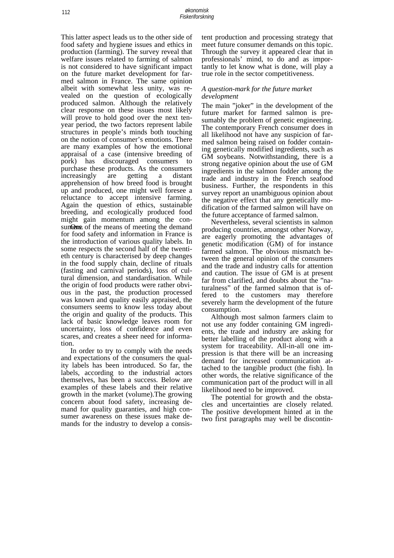This latter aspect leads us to the other side of food safety and hygiene issues and ethics in production (farming). The survey reveal that welfare issues related to farming of salmon is not considered to have significant impact on the future market development for farmed salmon in France. The same opinion albeit with somewhat less unity, was revealed on the question of ecologically produced salmon. Although the relatively clear response on these issues most likely will prove to hold good over the next tenyear period, the two factors represent labile structures in people's minds both touching on the notion of consumer's emotions. There are many examples of how the emotional appraisal of a case (intensive breeding of pork) has discouraged consumers to purchase these products. As the consumers increasingly are getting a distant apprehension of how breed food is brought up and produced, one might well foresee a reluctance to accept intensive farming. Again the question of ethics, sustainable breeding, and ecologically produced food might gain momentum among the consum One of the means of meeting the demand for food safety and information in France is the introduction of various quality labels. In some respects the second half of the twentieth century is characterised by deep changes in the food supply chain, decline of rituals (fasting and carnival periods), loss of cultural dimension, and standardisation. While the origin of food products were rather obvious in the past, the production processed was known and quality easily appraised, the consumers seems to know less today about the origin and quality of the products. This lack of basic knowledge leaves room for uncertainty, loss of confidence and even scares, and creates a sheer need for information.

 In order to try to comply with the needs and expectations of the consumers the quality labels has been introduced. So far, the labels, according to the industrial actors themselves, has been a success. Below are examples of these labels and their relative growth in the market (volume).The growing concern about food safety, increasing demand for quality guaranties, and high consumer awareness on these issues make demands for the industry to develop a consis-

tent production and processing strategy that meet future consumer demands on this topic. Through the survey it appeared clear that in professionals' mind, to do and as importantly to let know what is done, will play a true role in the sector competitiveness.

#### *A question-mark for the future market development*

The main "joker" in the development of the future market for farmed salmon is presumably the problem of genetic engineering. The contemporary French consumer does in all likelihood not have any suspicion of farmed salmon being raised on fodder containing genetically modified ingredients, such as GM soybeans. Notwithstanding, there is a strong negative opinion about the use of GM ingredients in the salmon fodder among the trade and industry in the French seafood business. Further, the respondents in this survey report an unambiguous opinion about the negative effect that any genetically modification of the farmed salmon will have on the future acceptance of farmed salmon.

 Nevertheless, several scientists in salmon producing countries, amongst other Norway, are eagerly promoting the advantages of genetic modification (GM) of for instance farmed salmon. The obvious mismatch between the general opinion of the consumers and the trade and industry calls for attention and caution. The issue of GM is at present far from clarified, and doubts about the "naturalness" of the farmed salmon that is offered to the customers may therefore severely harm the development of the future consumption.

 Although most salmon farmers claim to not use any fodder containing GM ingredients, the trade and industry are asking for better labelling of the product along with a system for traceability. All-in-all one impression is that there will be an increasing demand for increased communication attached to the tangible product (the fish). In other words, the relative significance of the communication part of the product will in all likelihood need to be improved.

 The potential for growth and the obstacles and uncertainties are closely related. The positive development hinted at in the two first paragraphs may well be discontin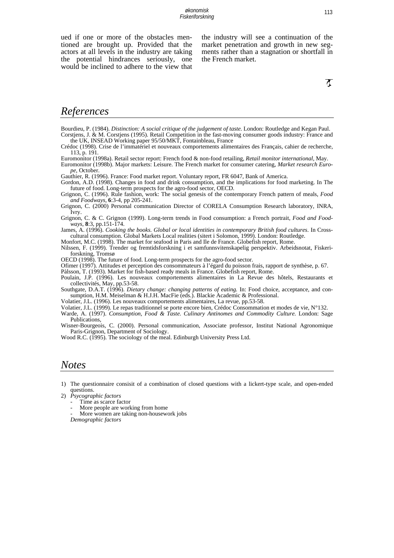ued if one or more of the obstacles mentioned are brought up. Provided that the actors at all levels in the industry are taking the potential hindrances seriously, one would be inclined to adhere to the view that the industry will see a continuation of the market penetration and growth in new segments rather than a stagnation or shortfall in the French market.

# *References*

Bourdieu, P. (1984). *Distinction: A social critique of the judgement of taste.* London: Routledge and Kegan Paul. Corstjens, J. & M. Corstjens (1995). Retail Competition in the fast-moving consumer goods industry: France and the UK, INSEAD Working paper 95/50/MKT, Fontainbleau, France

Crédoc (1998). Crise de l'immatériel et nouveaux comportements alimentaires des Français, cahier de recherche, 113, p. 191.

Euromonitor (1998a). Retail sector report: French food & non-food retailing, *Retail monitor international*, May.

Euromonitor (1998b). Major markets: Leisure. The French market for consumer catering, *Market research Europe*, October.

Gauthier, R. (1996). France: Food market report. Voluntary report, FR 6047, Bank of America.

Gordon, A.D. (1998). Changes in food and drink consumption, and the implications for food marketing. In The future of food. Long-term prospects for the agro-food sector, OECD.

Grignon, C. (1996). Rule fashion, work: The social genesis of the contemporary French pattern of meals, *Food and Foodways*, **6**:3-4, pp 205-241.

Grignon, C. (2000) Personal communication Director of CORELA Consumption Research laboratory, INRA, Ivry.

Grignon, C. & C. Grignon (1999). Long-term trends in Food consumption: a French portrait, *Food and Foodways*, **8**:3, pp.151-174.

James, A. (1996). *Cooking the books. Global or local identities in contemporary British food cultures*. In Crosscultural consumption. Global Markets Local realities (sitert i Solomon, 1999). London: Routledge.

Monfort, M.C. (1998). The market for seafood in Paris and Ile de France. Globefish report, Rome.

Nilssen, F. (1999). Trender og fremtidsforskning i et samfunnsvitenskapelig perspektiv. Arbeidsnotat, Fiskeriforskning, Tromsø

OECD (1998). The future of food. Long-term prospects for the agro-food sector.

Ofimer (1997). Attitudes et perception des consommateurs à l'égard du poisson frais, rapport de synthèse, p. 67.

Pàlsson, T. (1993). Market for fish-based ready meals in France. Globefish report, Rome.

Poulain, J.P. (1996). Les nouveaux comportements alimentaires in La Revue des hôtels, Restaurants et collectivités, May, pp.53-58.

Southgate, D.A.T. (1996). *Dietary change: changing patterns of eating*. In: Food choice, acceptance, and consumption, H.M. Meiselman & H.J.H. MacFie (eds.). Blackie Academic & Professional.

Volatier, J.L. (1996). Les nouveaux comportements alimentaires, La revue*,* pp.53-58.

Volatier, J.L. (1999). Le repas traditionnel se porte encore bien, Crédoc Consommation et modes de vie, N°132.

Warde, A. (1997). *Consumption, Food & Taste. Culinary Antinomes and Commodity Culture.* London: Sage Publications,

Wisner-Bourgeois, C. (2000). Personal communication, Associate professor, Institut National Agronomique Paris-Grignon, Department of Sociology.

Wood R.C. (1995). The sociology of the meal. Edinburgh University Press Ltd.

## *Notes*

1) The questionnaire consisit of a combination of closed questions with a lickert-type scale, and open-ended questions.

2) *Psycographic factors* 

More people are working from home

More women are taking non-housework jobs

*Demographic factors*